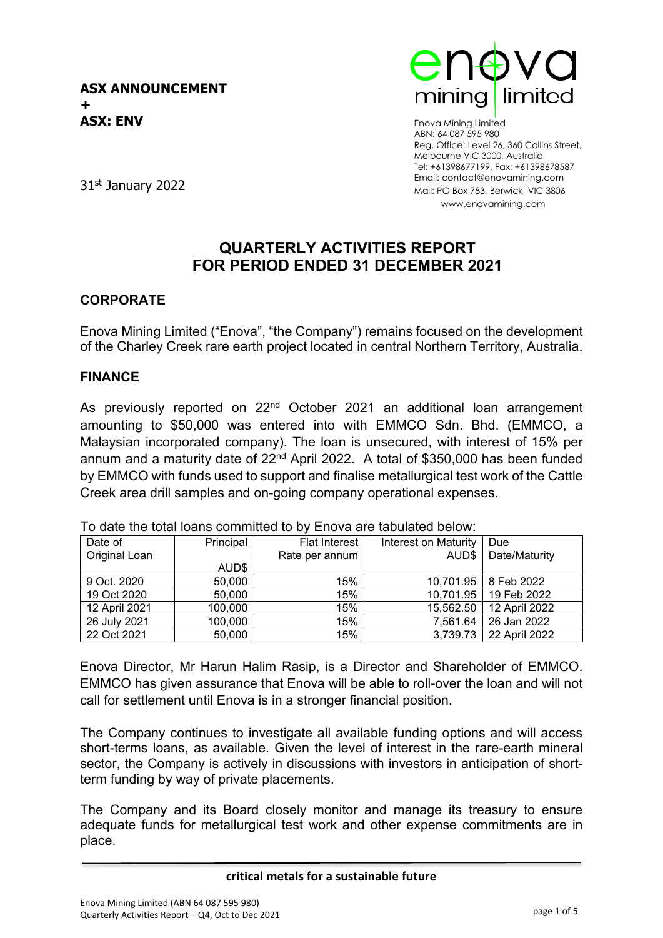

Enova Mining Limited ABN: 64 087 595 980 Reg. Office: Level 26, 360 Collins Street, Melbourne VIC 3000, Australia Tel: +61398677199, Fax: +61398678587 Email: contact@enovamining.com Mail: PO Box 783, Berwick, VIC 3806 www.enovamining.com

31st January 2022

### **QUARTERLY ACTIVITIES REPORT FOR PERIOD ENDED 31 DECEMBER 2021**

### **CORPORATE**

Enova Mining Limited ("Enova", "the Company") remains focused on the development of the Charley Creek rare earth project located in central Northern Territory, Australia.

#### **FINANCE**

As previously reported on 22<sup>nd</sup> October 2021 an additional loan arrangement amounting to \$50,000 was entered into with EMMCO Sdn. Bhd. (EMMCO, a Malaysian incorporated company). The loan is unsecured, with interest of 15% per annum and a maturity date of  $22<sup>nd</sup>$  April 2022. A total of \$350,000 has been funded by EMMCO with funds used to support and finalise metallurgical test work of the Cattle Creek area drill samples and on-going company operational expenses.

| Date of       | Principal | <b>Flat Interest</b> | Interest on Maturity | Due           |
|---------------|-----------|----------------------|----------------------|---------------|
| Original Loan |           | Rate per annum       | AUD\$                | Date/Maturity |
|               | AUD\$     |                      |                      |               |
| 9 Oct. 2020   | 50,000    | 15%                  | 10,701.95            | 8 Feb 2022    |
| 19 Oct 2020   | 50,000    | 15%                  | 10,701.95            | 19 Feb 2022   |
| 12 April 2021 | 100,000   | 15%                  | 15,562.50            | 12 April 2022 |
| 26 July 2021  | 100,000   | 15%                  | 7,561.64             | 26 Jan 2022   |
| 22 Oct 2021   | 50,000    | 15%                  | 3,739.73             | 22 April 2022 |

To date the total loans committed to by Enova are tabulated below:

Enova Director, Mr Harun Halim Rasip, is a Director and Shareholder of EMMCO. EMMCO has given assurance that Enova will be able to roll-over the loan and will not call for settlement until Enova is in a stronger financial position.

The Company continues to investigate all available funding options and will access short-terms loans, as available. Given the level of interest in the rare-earth mineral sector, the Company is actively in discussions with investors in anticipation of shortterm funding by way of private placements.

The Company and its Board closely monitor and manage its treasury to ensure adequate funds for metallurgical test work and other expense commitments are in place.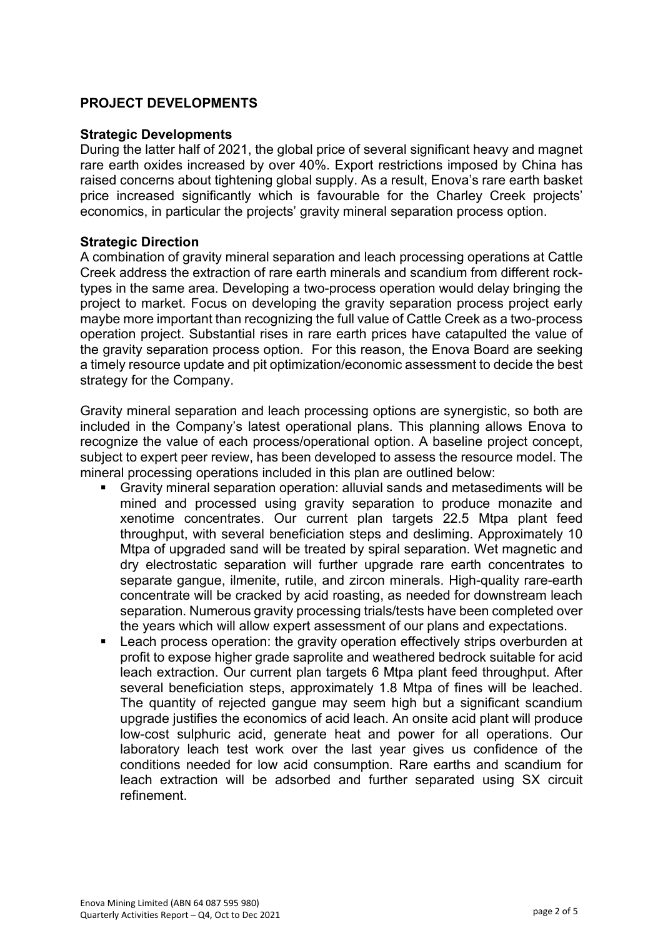#### **PROJECT DEVELOPMENTS**

#### **Strategic Developments**

During the latter half of 2021, the global price of several significant heavy and magnet rare earth oxides increased by over 40%. Export restrictions imposed by China has raised concerns about tightening global supply. As a result, Enova's rare earth basket price increased significantly which is favourable for the Charley Creek projects' economics, in particular the projects' gravity mineral separation process option.

#### **Strategic Direction**

A combination of gravity mineral separation and leach processing operations at Cattle Creek address the extraction of rare earth minerals and scandium from different rocktypes in the same area. Developing a two-process operation would delay bringing the project to market. Focus on developing the gravity separation process project early maybe more important than recognizing the full value of Cattle Creek as a two-process operation project. Substantial rises in rare earth prices have catapulted the value of the gravity separation process option. For this reason, the Enova Board are seeking a timely resource update and pit optimization/economic assessment to decide the best strategy for the Company.

Gravity mineral separation and leach processing options are synergistic, so both are included in the Company's latest operational plans. This planning allows Enova to recognize the value of each process/operational option. A baseline project concept, subject to expert peer review, has been developed to assess the resource model. The mineral processing operations included in this plan are outlined below:

- Gravity mineral separation operation: alluvial sands and metasediments will be mined and processed using gravity separation to produce monazite and xenotime concentrates. Our current plan targets 22.5 Mtpa plant feed throughput, with several beneficiation steps and desliming. Approximately 10 Mtpa of upgraded sand will be treated by spiral separation. Wet magnetic and dry electrostatic separation will further upgrade rare earth concentrates to separate gangue, ilmenite, rutile, and zircon minerals. High-quality rare-earth concentrate will be cracked by acid roasting, as needed for downstream leach separation. Numerous gravity processing trials/tests have been completed over the years which will allow expert assessment of our plans and expectations.
- Leach process operation: the gravity operation effectively strips overburden at profit to expose higher grade saprolite and weathered bedrock suitable for acid leach extraction. Our current plan targets 6 Mtpa plant feed throughput. After several beneficiation steps, approximately 1.8 Mtpa of fines will be leached. The quantity of rejected gangue may seem high but a significant scandium upgrade justifies the economics of acid leach. An onsite acid plant will produce low-cost sulphuric acid, generate heat and power for all operations. Our laboratory leach test work over the last year gives us confidence of the conditions needed for low acid consumption. Rare earths and scandium for leach extraction will be adsorbed and further separated using SX circuit refinement.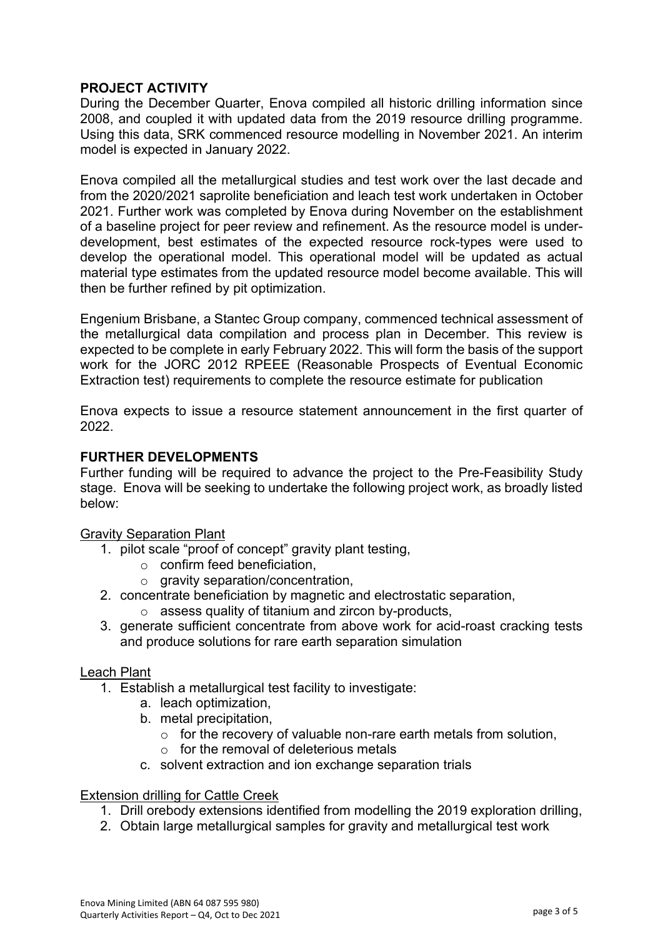#### **PROJECT ACTIVITY**

During the December Quarter, Enova compiled all historic drilling information since 2008, and coupled it with updated data from the 2019 resource drilling programme. Using this data, SRK commenced resource modelling in November 2021. An interim model is expected in January 2022.

Enova compiled all the metallurgical studies and test work over the last decade and from the 2020/2021 saprolite beneficiation and leach test work undertaken in October 2021. Further work was completed by Enova during November on the establishment of a baseline project for peer review and refinement. As the resource model is underdevelopment, best estimates of the expected resource rock-types were used to develop the operational model. This operational model will be updated as actual material type estimates from the updated resource model become available. This will then be further refined by pit optimization.

Engenium Brisbane, a Stantec Group company, commenced technical assessment of the metallurgical data compilation and process plan in December. This review is expected to be complete in early February 2022. This will form the basis of the support work for the JORC 2012 RPEEE (Reasonable Prospects of Eventual Economic Extraction test) requirements to complete the resource estimate for publication

Enova expects to issue a resource statement announcement in the first quarter of 2022.

#### **FURTHER DEVELOPMENTS**

Further funding will be required to advance the project to the Pre-Feasibility Study stage. Enova will be seeking to undertake the following project work, as broadly listed below:

#### Gravity Separation Plant

- 1. pilot scale "proof of concept" gravity plant testing,
	- $\circ$  confirm feed beneficiation,
	- o gravity separation/concentration,
- 2. concentrate beneficiation by magnetic and electrostatic separation,
	- o assess quality of titanium and zircon by-products,
- 3. generate sufficient concentrate from above work for acid-roast cracking tests and produce solutions for rare earth separation simulation

#### Leach Plant

- 1. Establish a metallurgical test facility to investigate:
	- a. leach optimization,
	- b. metal precipitation,
		- $\circ$  for the recovery of valuable non-rare earth metals from solution,
		- $\circ$  for the removal of deleterious metals
	- c. solvent extraction and ion exchange separation trials

#### Extension drilling for Cattle Creek

- 1. Drill orebody extensions identified from modelling the 2019 exploration drilling,
- 2. Obtain large metallurgical samples for gravity and metallurgical test work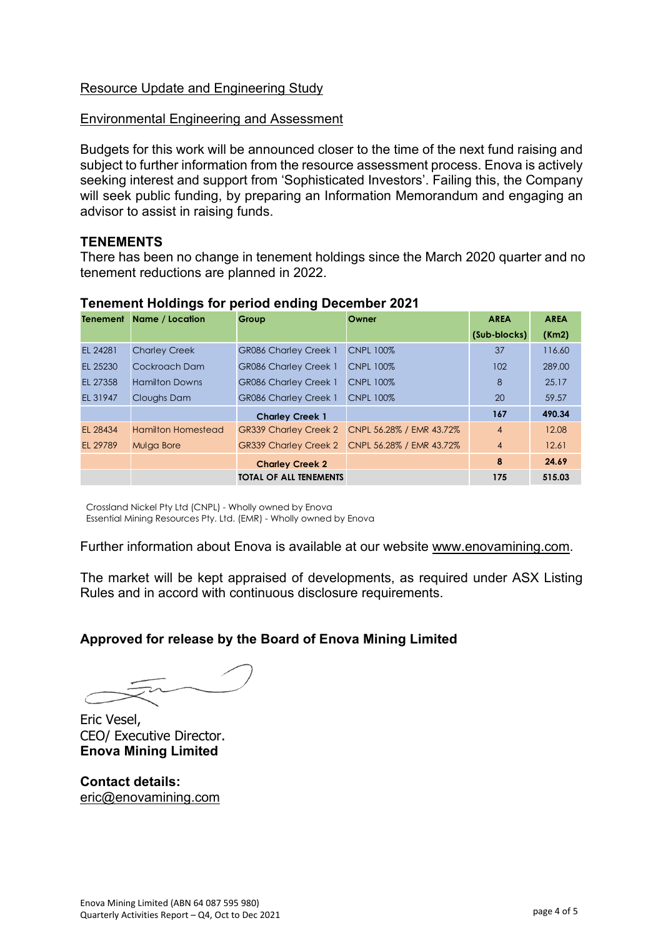#### Resource Update and Engineering Study

#### Environmental Engineering and Assessment

Budgets for this work will be announced closer to the time of the next fund raising and subject to further information from the resource assessment process. Enova is actively seeking interest and support from 'Sophisticated Investors'. Failing this, the Company will seek public funding, by preparing an Information Memorandum and engaging an advisor to assist in raising funds.

#### **TENEMENTS**

There has been no change in tenement holdings since the March 2020 quarter and no tenement reductions are planned in 2022.

|          | <b>Tenement Name / Location</b> | Group                         | Owner                    | <b>AREA</b>    | <b>AREA</b> |
|----------|---------------------------------|-------------------------------|--------------------------|----------------|-------------|
|          |                                 |                               |                          | (Sub-blocks)   | (Km2)       |
| EL 24281 | <b>Charley Creek</b>            | <b>GR086 Charley Creek 1</b>  | <b>CNPL 100%</b>         | 37             | 116.60      |
| EL 25230 | Cockroach Dam                   | <b>GR086 Charley Creek 1</b>  | <b>CNPL 100%</b>         | 102            | 289,00      |
| EL 27358 | <b>Hamilton Downs</b>           | <b>GR086 Charley Creek 1</b>  | <b>CNPL 100%</b>         | 8              | 25.17       |
| EL 31947 | Cloughs Dam                     | <b>GR086 Charley Creek 1</b>  | <b>CNPL 100%</b>         | 20             | 59.57       |
|          |                                 | <b>Charley Creek 1</b>        |                          | 167            | 490.34      |
| EL 28434 | <b>Hamilton Homestead</b>       | <b>GR339 Charley Creek 2</b>  | CNPL 56.28% / EMR 43.72% | $\overline{4}$ | 12.08       |
| EL 29789 | Mulga Bore                      | <b>GR339 Charley Creek 2</b>  | CNPL 56.28% / EMR 43.72% | $\overline{4}$ | 12.61       |
|          |                                 | <b>Charley Creek 2</b>        |                          | 8              | 24.69       |
|          |                                 | <b>TOTAL OF ALL TENEMENTS</b> |                          | 175            | 515.03      |

#### **Tenement Holdings for period ending December 2021**

Crossland Nickel Pty Ltd (CNPL) - Wholly owned by Enova Essential Mining Resources Pty. Ltd. (EMR) - Wholly owned by Enova

Further information about Enova is available at our website [www.enovamining.com.](http://www.enovamining.com/)

The market will be kept appraised of developments, as required under ASX Listing Rules and in accord with continuous disclosure requirements.

### **Approved for release by the Board of Enova Mining Limited**

Eric Vesel, CEO/ Executive Director. **Enova Mining Limited**

**Contact details:** [eric@enovamining.com](mailto:eric@enovamining.com)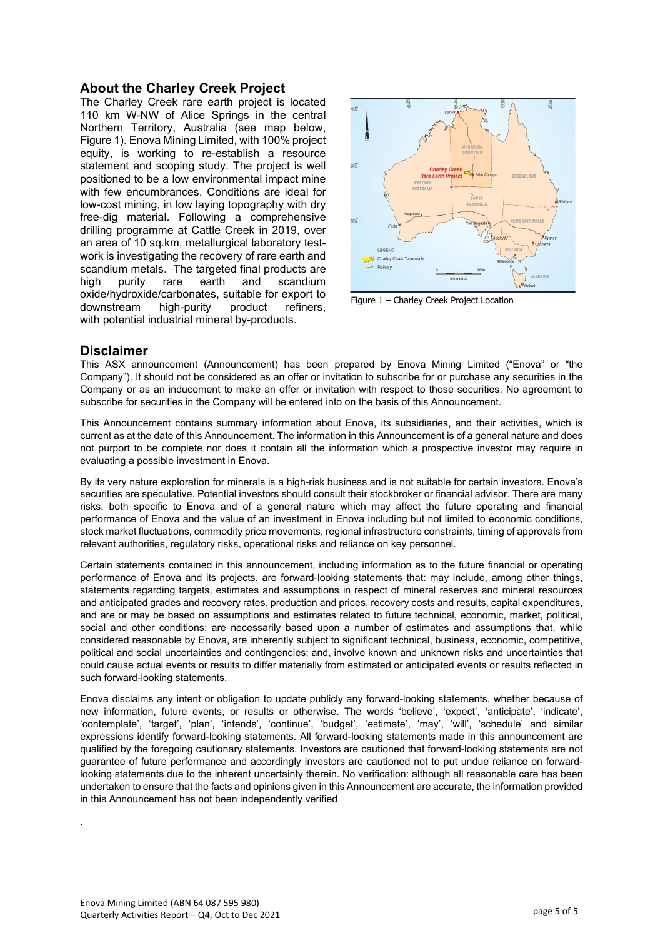#### **About the Charley Creek Project**

The Charley Creek rare earth project is located 110 km W-NW of Alice Springs in the central Northern Territory, Australia (see map below, Figure 1). Enova Mining Limited, with 100% project equity, is working to re-establish a resource statement and scoping study. The project is well positioned to be a low environmental impact mine with few encumbrances. Conditions are ideal for low-cost mining, in low laying topography with dry free-dig material. Following a comprehensive drilling programme at Cattle Creek in 2019, over an area of 10 sq.km, metallurgical laboratory testwork is investigating the recovery of rare earth and scandium metals. The targeted final products are high purity rare earth and scandium oxide/hydroxide/carbonates, suitable for export to downstream high-purity product refiners, with potential industrial mineral by-products.



Figure 1 – Charley Creek Project Location

#### **Disclaimer**

This ASX announcement (Announcement) has been prepared by Enova Mining Limited ("Enova" or "the Company"). It should not be considered as an offer or invitation to subscribe for or purchase any securities in the Company or as an inducement to make an offer or invitation with respect to those securities. No agreement to subscribe for securities in the Company will be entered into on the basis of this Announcement.

This Announcement contains summary information about Enova, its subsidiaries, and their activities, which is current as at the date of this Announcement. The information in this Announcement is of a general nature and does not purport to be complete nor does it contain all the information which a prospective investor may require in evaluating a possible investment in Enova.

By its very nature exploration for minerals is a high-risk business and is not suitable for certain investors. Enova's securities are speculative. Potential investors should consult their stockbroker or financial advisor. There are many risks, both specific to Enova and of a general nature which may affect the future operating and financial performance of Enova and the value of an investment in Enova including but not limited to economic conditions, stock market fluctuations, commodity price movements, regional infrastructure constraints, timing of approvals from relevant authorities, regulatory risks, operational risks and reliance on key personnel.

Certain statements contained in this announcement, including information as to the future financial or operating performance of Enova and its projects, are forward‐looking statements that: may include, among other things, statements regarding targets, estimates and assumptions in respect of mineral reserves and mineral resources and anticipated grades and recovery rates, production and prices, recovery costs and results, capital expenditures, and are or may be based on assumptions and estimates related to future technical, economic, market, political, social and other conditions; are necessarily based upon a number of estimates and assumptions that, while considered reasonable by Enova, are inherently subject to significant technical, business, economic, competitive, political and social uncertainties and contingencies; and, involve known and unknown risks and uncertainties that could cause actual events or results to differ materially from estimated or anticipated events or results reflected in such forward‐looking statements.

Enova disclaims any intent or obligation to update publicly any forward-looking statements, whether because of new information, future events, or results or otherwise. The words 'believe', 'expect', 'anticipate', 'indicate', 'contemplate', 'target', 'plan', 'intends', 'continue', 'budget', 'estimate', 'may', 'will', 'schedule' and similar expressions identify forward-looking statements. All forward-looking statements made in this announcement are qualified by the foregoing cautionary statements. Investors are cautioned that forward-looking statements are not guarantee of future performance and accordingly investors are cautioned not to put undue reliance on forward‐ looking statements due to the inherent uncertainty therein. No verification: although all reasonable care has been undertaken to ensure that the facts and opinions given in this Announcement are accurate, the information provided in this Announcement has not been independently verified

.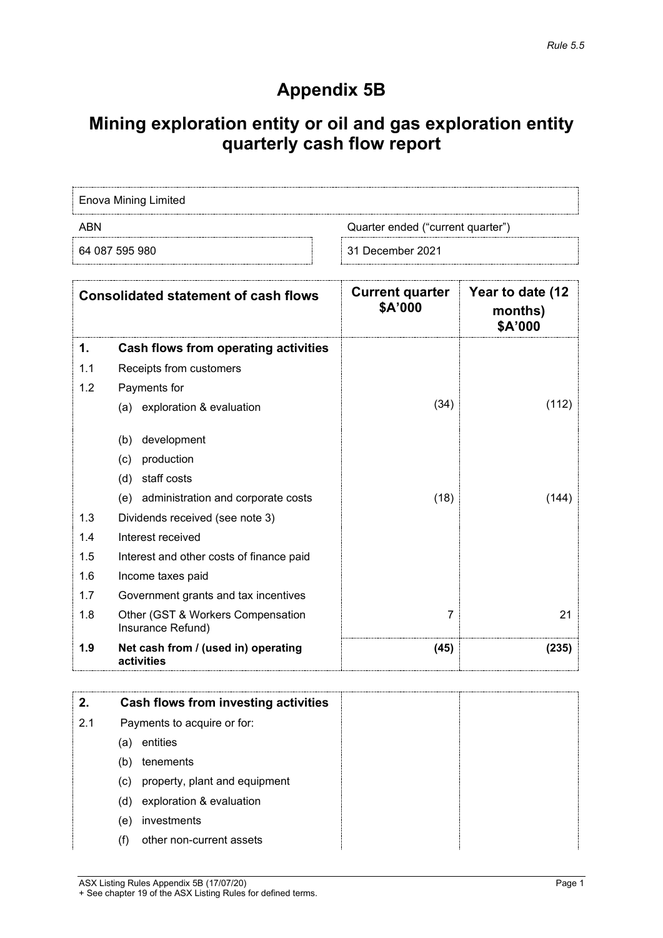# **Appendix 5B**

# **Mining exploration entity or oil and gas exploration entity quarterly cash flow report**

| Enova Mining Limited                     |                    |  |  |
|------------------------------------------|--------------------|--|--|
| ARN<br>Quarter ended ("current quarter") |                    |  |  |
| 64 087 595 980                           | ⊟ 31 December 2021 |  |  |

| <b>Consolidated statement of cash flows</b> |                                                        | <b>Current quarter</b><br>\$A'000 | Year to date (12<br>months)<br>\$A'000 |
|---------------------------------------------|--------------------------------------------------------|-----------------------------------|----------------------------------------|
| 1.                                          | Cash flows from operating activities                   |                                   |                                        |
| 1.1                                         | Receipts from customers                                |                                   |                                        |
| 1.2                                         | Payments for                                           |                                   |                                        |
|                                             | (a) exploration & evaluation                           | (34)                              | (112)                                  |
|                                             | development<br>(b)                                     |                                   |                                        |
|                                             | production<br>(c)                                      |                                   |                                        |
|                                             | staff costs<br>(d)                                     |                                   |                                        |
|                                             | administration and corporate costs<br>(e)              | (18)                              | (144)                                  |
| 1.3                                         | Dividends received (see note 3)                        |                                   |                                        |
| 1.4                                         | Interest received                                      |                                   |                                        |
| 1.5                                         | Interest and other costs of finance paid               |                                   |                                        |
| 1.6                                         | Income taxes paid                                      |                                   |                                        |
| 1.7                                         | Government grants and tax incentives                   |                                   |                                        |
| 1.8                                         | Other (GST & Workers Compensation<br>Insurance Refund) | 7                                 | 21                                     |
| 1.9                                         | Net cash from / (used in) operating<br>activities      | (45)                              | (235)                                  |

| 2.  |     | Cash flows from investing activities |
|-----|-----|--------------------------------------|
| 2.1 |     | Payments to acquire or for:          |
|     | (a) | entities                             |
|     | (b) | tenements                            |
|     | (C) | property, plant and equipment        |
|     | (d) | exploration & evaluation             |
|     | (e) | investments                          |
|     | (†) | other non-current assets             |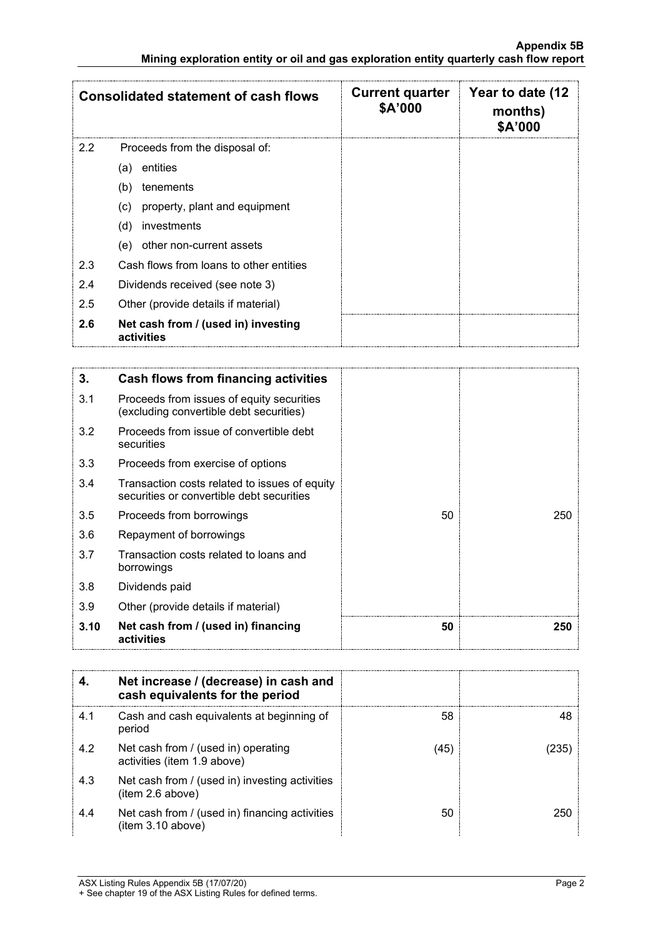|               | <b>Consolidated statement of cash flows</b>       | <b>Current quarter</b><br>\$A'000 | Year to date (12<br>months)<br>\$A'000 |
|---------------|---------------------------------------------------|-----------------------------------|----------------------------------------|
| $2.2^{\circ}$ | Proceeds from the disposal of:                    |                                   |                                        |
|               | entities<br>(a)                                   |                                   |                                        |
|               | (b)<br>tenements                                  |                                   |                                        |
|               | property, plant and equipment<br>(c)              |                                   |                                        |
|               | investments<br>(d)                                |                                   |                                        |
|               | other non-current assets<br>(e)                   |                                   |                                        |
| 2.3           | Cash flows from loans to other entities           |                                   |                                        |
| 2.4           | Dividends received (see note 3)                   |                                   |                                        |
| 2.5           | Other (provide details if material)               |                                   |                                        |
| 2.6           | Net cash from / (used in) investing<br>activities |                                   |                                        |

| 3.   | Cash flows from financing activities                                                       |    |     |
|------|--------------------------------------------------------------------------------------------|----|-----|
| 3.1  | Proceeds from issues of equity securities<br>(excluding convertible debt securities)       |    |     |
| 3.2  | Proceeds from issue of convertible debt<br>securities                                      |    |     |
| 3.3  | Proceeds from exercise of options                                                          |    |     |
| 3.4  | Transaction costs related to issues of equity<br>securities or convertible debt securities |    |     |
| 3.5  | Proceeds from borrowings                                                                   | 50 | 250 |
| 3.6  | Repayment of borrowings                                                                    |    |     |
| 3.7  | Transaction costs related to loans and<br>borrowings                                       |    |     |
| 3.8  | Dividends paid                                                                             |    |     |
| 3.9  | Other (provide details if material)                                                        |    |     |
| 3.10 | Net cash from / (used in) financing<br>activities                                          | 50 | 250 |

|     | Net increase / (decrease) in cash and<br>cash equivalents for the period |    |  |
|-----|--------------------------------------------------------------------------|----|--|
| 4.1 | Cash and cash equivalents at beginning of<br>period                      | 58 |  |
| 4.2 | Net cash from / (used in) operating<br>activities (item 1.9 above)       | 45 |  |
| 4.3 | Net cash from / (used in) investing activities<br>(item 2.6 above)       |    |  |
| 4.4 | Net cash from / (used in) financing activities<br>item 3.10 above)       | 50 |  |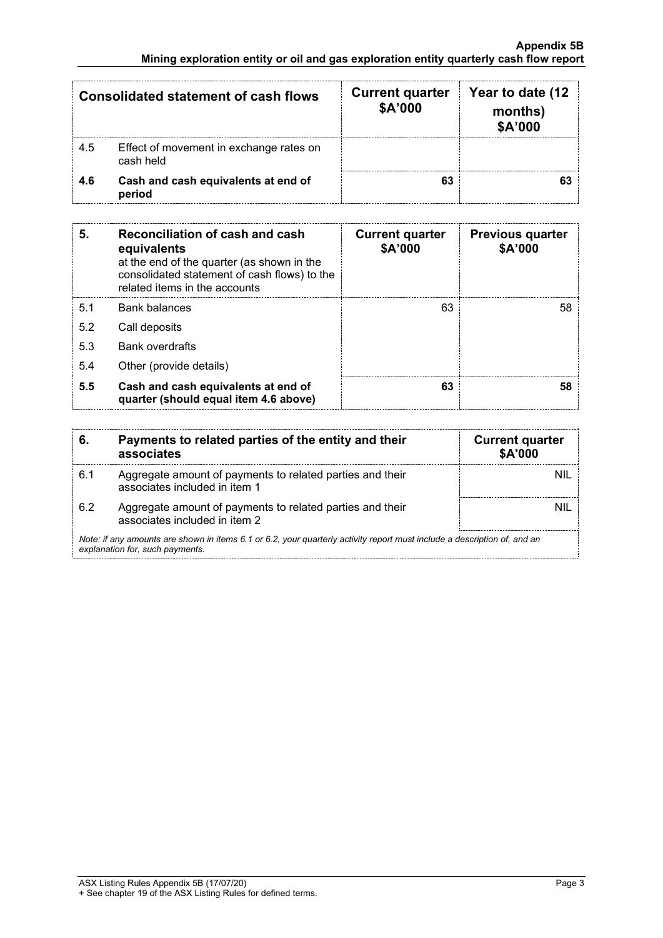| <b>Consolidated statement of cash flows</b> |                                                      | <b>Current quarter</b><br>\$A'000 | Year to date (12<br>months)<br>\$A'000 |
|---------------------------------------------|------------------------------------------------------|-----------------------------------|----------------------------------------|
| -4.5                                        | Effect of movement in exchange rates on<br>cash held |                                   |                                        |
| 4.6                                         | Cash and cash equivalents at end of<br>period        |                                   |                                        |

| 5.  | Reconciliation of cash and cash<br>equivalents<br>at the end of the quarter (as shown in the<br>consolidated statement of cash flows) to the<br>related items in the accounts | <b>Current quarter</b><br>\$A'000 | <b>Previous quarter</b><br>\$A'000 |
|-----|-------------------------------------------------------------------------------------------------------------------------------------------------------------------------------|-----------------------------------|------------------------------------|
| 5.1 | <b>Bank balances</b>                                                                                                                                                          | 63                                | 58                                 |
| 5.2 | Call deposits                                                                                                                                                                 |                                   |                                    |
| 5.3 | <b>Bank overdrafts</b>                                                                                                                                                        |                                   |                                    |
| 5.4 | Other (provide details)                                                                                                                                                       |                                   |                                    |
| 5.5 | Cash and cash equivalents at end of<br>quarter (should equal item 4.6 above)                                                                                                  | 63                                |                                    |

|                                                                                                                                                             | Payments to related parties of the entity and their<br>associates                          | <b>Current quarter</b><br><b>\$A'000</b> |  |
|-------------------------------------------------------------------------------------------------------------------------------------------------------------|--------------------------------------------------------------------------------------------|------------------------------------------|--|
| 61                                                                                                                                                          | Aggregate amount of payments to related parties and their<br>associates included in item 1 |                                          |  |
| 62                                                                                                                                                          | Aggregate amount of payments to related parties and their<br>associates included in item 2 |                                          |  |
| Note: if any amounts are shown in items 6.1 or 6.2, your quarterly activity report must include a description of, and an<br>explanation for, such payments. |                                                                                            |                                          |  |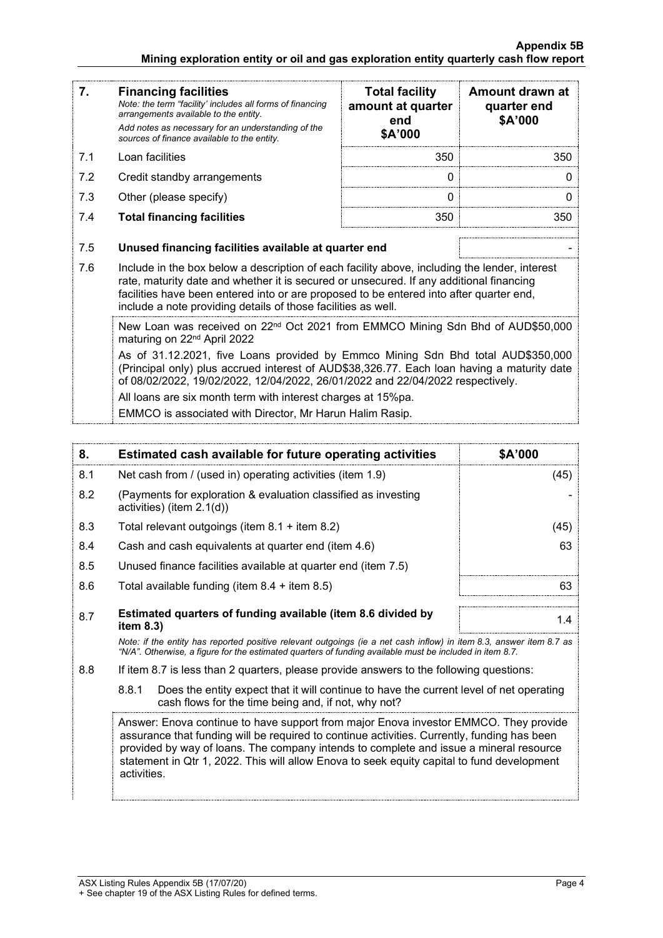| 7.                                                                                                                                     | <b>Financing facilities</b><br>Note: the term "facility' includes all forms of financing<br>arrangements available to the entity.<br>Add notes as necessary for an understanding of the<br>sources of finance available to the entity.                           | <b>Total facility</b><br>amount at quarter<br>end<br>\$A'000                                  | Amount drawn at<br>quarter end<br>\$A'000 |
|----------------------------------------------------------------------------------------------------------------------------------------|------------------------------------------------------------------------------------------------------------------------------------------------------------------------------------------------------------------------------------------------------------------|-----------------------------------------------------------------------------------------------|-------------------------------------------|
| 7.1                                                                                                                                    | Loan facilities                                                                                                                                                                                                                                                  | 350                                                                                           | 350                                       |
| 7.2                                                                                                                                    | Credit standby arrangements                                                                                                                                                                                                                                      | 0                                                                                             | O                                         |
| 7.3                                                                                                                                    | Other (please specify)                                                                                                                                                                                                                                           | $\Omega$                                                                                      | 0                                         |
| 7.4                                                                                                                                    | <b>Total financing facilities</b>                                                                                                                                                                                                                                | 350                                                                                           | 350                                       |
| 7.5<br>7.6                                                                                                                             | Unused financing facilities available at quarter end                                                                                                                                                                                                             | Include in the box below a description of each facility above, including the lender, interest |                                           |
|                                                                                                                                        | rate, maturity date and whether it is secured or unsecured. If any additional financing<br>facilities have been entered into or are proposed to be entered into after quarter end,<br>include a note providing details of those facilities as well.              |                                                                                               |                                           |
| New Loan was received on 22 <sup>nd</sup> Oct 2021 from EMMCO Mining Sdn Bhd of AUD\$50,000<br>maturing on 22 <sup>nd</sup> April 2022 |                                                                                                                                                                                                                                                                  |                                                                                               |                                           |
|                                                                                                                                        | As of 31.12.2021, five Loans provided by Emmco Mining Sdn Bhd total AUD\$350,000<br>(Principal only) plus accrued interest of AUD\$38,326.77. Each loan having a maturity date<br>of 08/02/2022, 19/02/2022, 12/04/2022, 26/01/2022 and 22/04/2022 respectively. |                                                                                               |                                           |
|                                                                                                                                        | All loans are six month term with interest charges at 15%pa.                                                                                                                                                                                                     |                                                                                               |                                           |
|                                                                                                                                        | EMMCO is associated with Director, Mr Harun Halim Rasip.                                                                                                                                                                                                         |                                                                                               |                                           |

| 8.  | Estimated cash available for future operating activities                                                                                                                                                                        | \$A'000 |
|-----|---------------------------------------------------------------------------------------------------------------------------------------------------------------------------------------------------------------------------------|---------|
| 8.1 | Net cash from / (used in) operating activities (item 1.9)                                                                                                                                                                       | (45)    |
| 8.2 | (Payments for exploration & evaluation classified as investing<br>activities) (item $2.1(d)$ )                                                                                                                                  |         |
| 8.3 | Total relevant outgoings (item $8.1 +$ item $8.2$ )                                                                                                                                                                             | (45)    |
| 8.4 | Cash and cash equivalents at quarter end (item 4.6)                                                                                                                                                                             | 63      |
| 8.5 | Unused finance facilities available at quarter end (item 7.5)                                                                                                                                                                   |         |
| 8.6 | Total available funding (item $8.4 +$ item $8.5$ )                                                                                                                                                                              | 63      |
| 8.7 | Estimated quarters of funding available (item 8.6 divided by<br>item $8.3$ )                                                                                                                                                    | 1.4     |
|     | Note: if the entity has reported positive relevant outgoings (ie a net cash inflow) in item 8.3, answer item 8.7 as<br>"N/A". Otherwise, a figure for the estimated guarters of funding available must be included in item 8.7. |         |
| 8.8 | If item 8.7 is less than 2 quarters, please provide answers to the following questions:                                                                                                                                         |         |

8.8.1 Does the entity expect that it will continue to have the current level of net operating cash flows for the time being and, if not, why not?

Answer: Enova continue to have support from major Enova investor EMMCO. They provide assurance that funding will be required to continue activities. Currently, funding has been provided by way of loans. The company intends to complete and issue a mineral resource statement in Qtr 1, 2022. This will allow Enova to seek equity capital to fund development activities.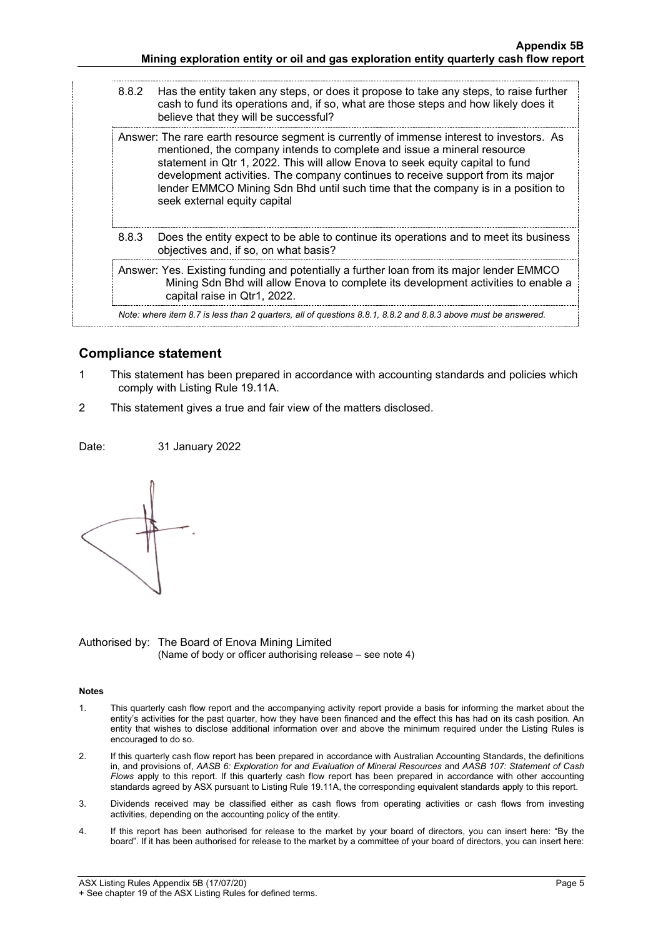| 8.8.2 | Has the entity taken any steps, or does it propose to take any steps, to raise further<br>cash to fund its operations and, if so, what are those steps and how likely does it<br>believe that they will be successful?                                                                                                                                                                                                                                        |
|-------|---------------------------------------------------------------------------------------------------------------------------------------------------------------------------------------------------------------------------------------------------------------------------------------------------------------------------------------------------------------------------------------------------------------------------------------------------------------|
|       | Answer: The rare earth resource segment is currently of immense interest to investors. As<br>mentioned, the company intends to complete and issue a mineral resource<br>statement in Qtr 1, 2022. This will allow Enova to seek equity capital to fund<br>development activities. The company continues to receive support from its major<br>lender EMMCO Mining Sdn Bhd until such time that the company is in a position to<br>seek external equity capital |
| 8.8.3 | Does the entity expect to be able to continue its operations and to meet its business<br>objectives and, if so, on what basis?                                                                                                                                                                                                                                                                                                                                |
|       | Answer: Yes. Existing funding and potentially a further loan from its major lender EMMCO<br>Mining Sdn Bhd will allow Enova to complete its development activities to enable a<br>capital raise in Qtr1, 2022.                                                                                                                                                                                                                                                |
|       | Note: where item 8.7 is less than 2 quarters, all of questions 8.8.1, 8.8.2 and 8.8.3 above must be answered.                                                                                                                                                                                                                                                                                                                                                 |
|       |                                                                                                                                                                                                                                                                                                                                                                                                                                                               |

#### **Compliance statement**

- 1 This statement has been prepared in accordance with accounting standards and policies which comply with Listing Rule 19.11A.
- 2 This statement gives a true and fair view of the matters disclosed.

Date: 31 January 2022



Authorised by: The Board of Enova Mining Limited (Name of body or officer authorising release – see note 4)

#### **Notes**

- 1. This quarterly cash flow report and the accompanying activity report provide a basis for informing the market about the entity's activities for the past quarter, how they have been financed and the effect this has had on its cash position. An entity that wishes to disclose additional information over and above the minimum required under the Listing Rules is encouraged to do so.
- 2. If this quarterly cash flow report has been prepared in accordance with Australian Accounting Standards, the definitions in, and provisions of, *AASB 6: Exploration for and Evaluation of Mineral Resources* and *AASB 107: Statement of Cash Flows* apply to this report. If this quarterly cash flow report has been prepared in accordance with other accounting standards agreed by ASX pursuant to Listing Rule 19.11A, the corresponding equivalent standards apply to this report.
- 3. Dividends received may be classified either as cash flows from operating activities or cash flows from investing activities, depending on the accounting policy of the entity.
- 4. If this report has been authorised for release to the market by your board of directors, you can insert here: "By the board". If it has been authorised for release to the market by a committee of your board of directors, you can insert here: